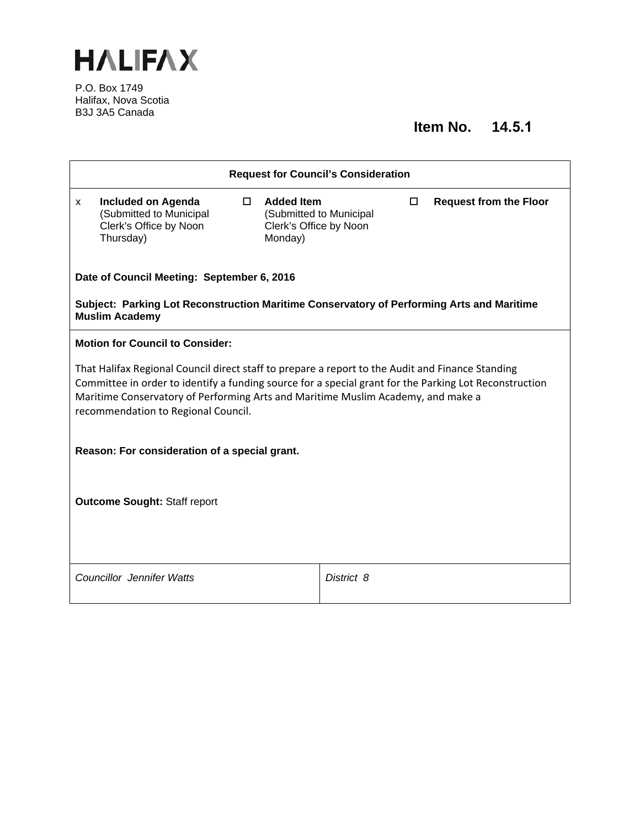

P.O. Box 1749 Halifax, Nova Scotia B3J 3A5 Canada

# **Item No. 14.5.1**

|                                                                                                                                                                                                                                                                                                                                       | <b>Request for Council's Consideration</b>                                                  |    |                                                        |                         |   |                               |
|---------------------------------------------------------------------------------------------------------------------------------------------------------------------------------------------------------------------------------------------------------------------------------------------------------------------------------------|---------------------------------------------------------------------------------------------|----|--------------------------------------------------------|-------------------------|---|-------------------------------|
| X.                                                                                                                                                                                                                                                                                                                                    | <b>Included on Agenda</b><br>(Submitted to Municipal<br>Clerk's Office by Noon<br>Thursday) | О. | <b>Added Item</b><br>Clerk's Office by Noon<br>Monday) | (Submitted to Municipal | □ | <b>Request from the Floor</b> |
|                                                                                                                                                                                                                                                                                                                                       | Date of Council Meeting: September 6, 2016                                                  |    |                                                        |                         |   |                               |
| Subject: Parking Lot Reconstruction Maritime Conservatory of Performing Arts and Maritime<br><b>Muslim Academy</b>                                                                                                                                                                                                                    |                                                                                             |    |                                                        |                         |   |                               |
|                                                                                                                                                                                                                                                                                                                                       | <b>Motion for Council to Consider:</b>                                                      |    |                                                        |                         |   |                               |
| That Halifax Regional Council direct staff to prepare a report to the Audit and Finance Standing<br>Committee in order to identify a funding source for a special grant for the Parking Lot Reconstruction<br>Maritime Conservatory of Performing Arts and Maritime Muslim Academy, and make a<br>recommendation to Regional Council. |                                                                                             |    |                                                        |                         |   |                               |
| Reason: For consideration of a special grant.                                                                                                                                                                                                                                                                                         |                                                                                             |    |                                                        |                         |   |                               |
|                                                                                                                                                                                                                                                                                                                                       |                                                                                             |    |                                                        |                         |   |                               |
| <b>Outcome Sought: Staff report</b>                                                                                                                                                                                                                                                                                                   |                                                                                             |    |                                                        |                         |   |                               |
|                                                                                                                                                                                                                                                                                                                                       |                                                                                             |    |                                                        |                         |   |                               |
|                                                                                                                                                                                                                                                                                                                                       | <b>Councillor Jennifer Watts</b>                                                            |    |                                                        | District 8              |   |                               |
|                                                                                                                                                                                                                                                                                                                                       |                                                                                             |    |                                                        |                         |   |                               |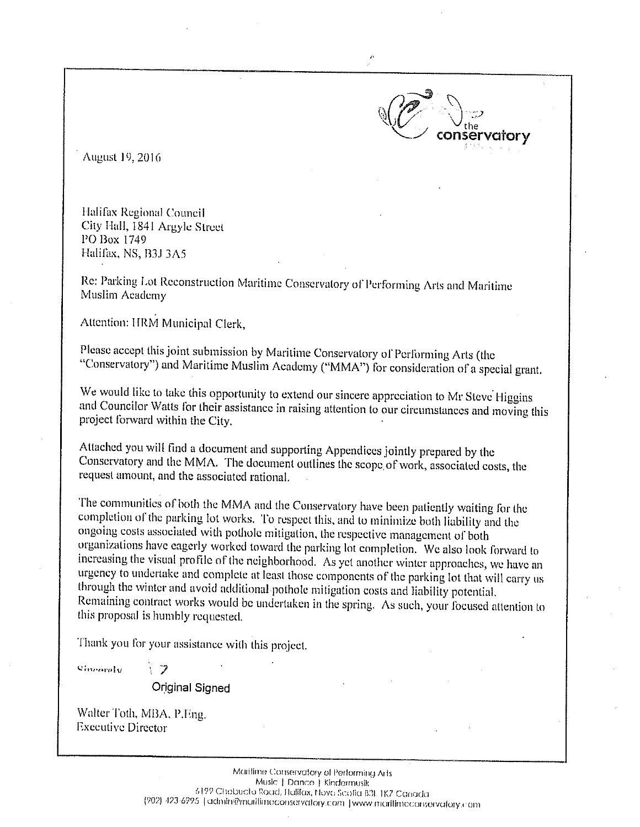August 19, 2016

Halifax Regional Council City Hall, 1841 Argyle Street PO Box 1749 Halifax, NS, B3J 3A5

Re: Parking Lot Reconstruction Maritime Conservatory of Performing Arts and Maritime Muslim Academy

Attention: HRM Municipal Clerk,

Please accept this joint submission by Maritime Conservatory of Performing Arts (the "Conservatory") and Maritime Muslim Academy ("MMA") for consideration of a special grant.

vator v

We would like to take this opportunity to extend our sincere appreciation to Mr Steve Higgins and Councilor Watts for their assistance in raising attention to our circumstances and moving this project forward within the City.

Attached you will find a document and supporting Appendices jointly prepared by the Conservatory and the MMA. The document outlines the scope of work, associated costs, the request amount, and the associated rational.

The communities of both the MMA and the Conservatory have been patiently waiting for the completion of the parking lot works. To respect this, and to minimize both liability and the ongoing costs associated with pothole mitigation, the respective management of both organizations have eagerly worked toward the parking lot completion. We also look forward to increasing the visual profile of the neighborhood. As yet another winter approaches, we have an urgency to undertake and complete at least those components of the parking lot that will carry us through the winter and avoid additional pothole mitigation costs and liability potential. Remaining contract works would be undertaken in the spring. As such, your focused attention to this proposal is humbly requested.

Thank you for your assistance with this project.

Chonaraly

Original Signed

Walter Toth, MBA, P.Eng. **Executive Director**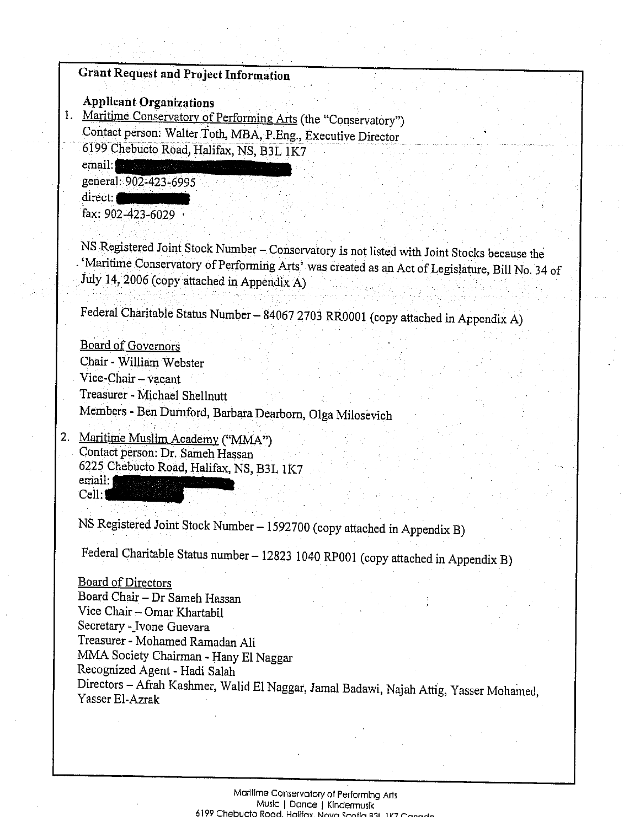# Grant Request and Project Informatiou

Applicant Organizations

1. Maritime Conservatory of Performing Arts (the "Conservatory") Contact person: Walter Toth, MBA, P.Eng., Executive Director <sup>6199</sup> Chebucto Road, Halifax, NS, B3L 1K7

 $email:$ general: 902-423-6995

direct: fax: 902-423-6029

NS Registered Joint Stock Number — Conservatory is not listed with Joint Stocks because the 'Maritime Conservatory of Peffonning Arts' was created as an Act of Legislature, Bill No. <sup>34</sup> of July 14, <sup>2006</sup> (copy attached in Appendix A)

Federal Charitable Status Number— <sup>84067</sup> <sup>2703</sup> RR0001 (copy attached in Appendix A)

Board of Governors Chair -William Webster Vice-Chair — vacant Treasurer - Michael Shellnutt Members - Ben Durnford, Barbara Dearborn, Olga Milosevich

2. Maritime Muslim Academy ("MMA") Contact person: Dr. Sameh Hassan <sup>6225</sup> Chebucto Road, Halifax, NS, B3L 1K7 email: 1 Cell:1

NS Registered Joint Stock Number — <sup>1592700</sup> (copy attached in Appendix B)

Federal Charitable Status number — <sup>12823</sup> <sup>1040</sup> RPOO1 (copy attached in Appendix B)

Board of Directors Board Chair — Dr Sameh Hassan Vice Chair — Omar Khartabil Secretary -Jvone Guevara Treasurer - Mohamed Ramadan Ali MMA Society Chairman -Hany El Naggar Recognized Agent - Hadi Salah Directors — Afrah Kashmer, Walid El Naggar, Jamal Badawi, Najah Attig, Yasser Mohamed, Yasser El-Azrak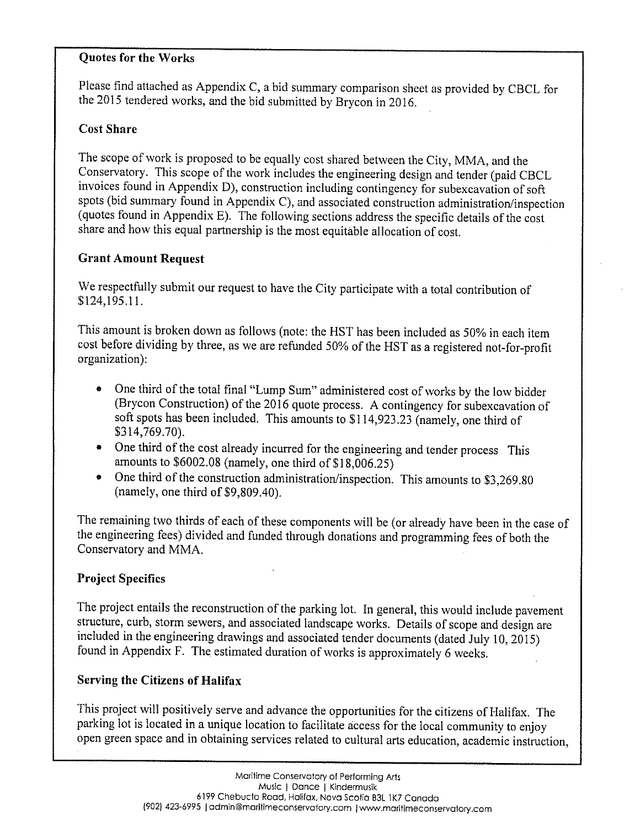# Quotes for the Works

Please find attached as Appendix C, <sup>a</sup> bid summary comparison sheet as provided by CBCL for the <sup>2015</sup> tendered works, and the bid submitted by Brycon in 2016.

# Cost Share

The scope of work is proposed to be equally cost shared between the City, MMA, and the Conservatory. This scope of the work includes the engineering design and tender (paid CBCL invoices found in Appendix D), construction including contingency for subexcavation of soft spots (bid summary found in Appendix C), and associated construction administration/inspection (quotes found in Appendix F). The following sections address the specific details of the cost share and how this equa<sup>l</sup> partnership is the most equitable allocation of cost.

# Grant Amount Request

We respectfully submit our request to have the City participate with <sup>a</sup> total contribution of \$124,195.11.

This amount is broken down as follows (note: the HST has been included as 50% in each item cost before dividing by three, as we are refunded 50% of the HST as <sup>a</sup> registered not-for-profit organization):

- One third of the total final "Lump Sum" administered cost of works by the low bidder (Brycon Construction) of the <sup>2016</sup> quote process. <sup>A</sup> contingency for subexcavation of soft spots has been included. This amounts to \$114,923.23 (namely, one third of \$314,769.70).
- One third of the cost already incurred for the engineering and tender process This amounts to \$6002.08 (namely, one third of \$18,006.25)
- One third of the construction administration/inspection. This amounts to \$3,269.80 (namely, one third of \$9,809.40).

The remaining two thirds of each of these components will be (or already have been in the case of the engineering fees) divided and funded through donations and programming fees of both the Conservatory and MMA.

# Project Specifics

The project entails the reconstruction of the parking lot. In general, this would include pavement structure, curb, storm sewers, and associated landscape works. Details of scope and design are included in the engineering drawings and associated tender documents (dated July 10, 2015) found in Appendix F. The estimated duration of works is approximately <sup>6</sup> weeks.

# Serving the Citizens of Halifax

This project will positively serve and advance the opportunities for the citizens of Halifax. The parking lot is located in <sup>a</sup> unique location to facilitate access for the local community to enjoy open green space and in obtaining services related to cultural arts education, academic instruction,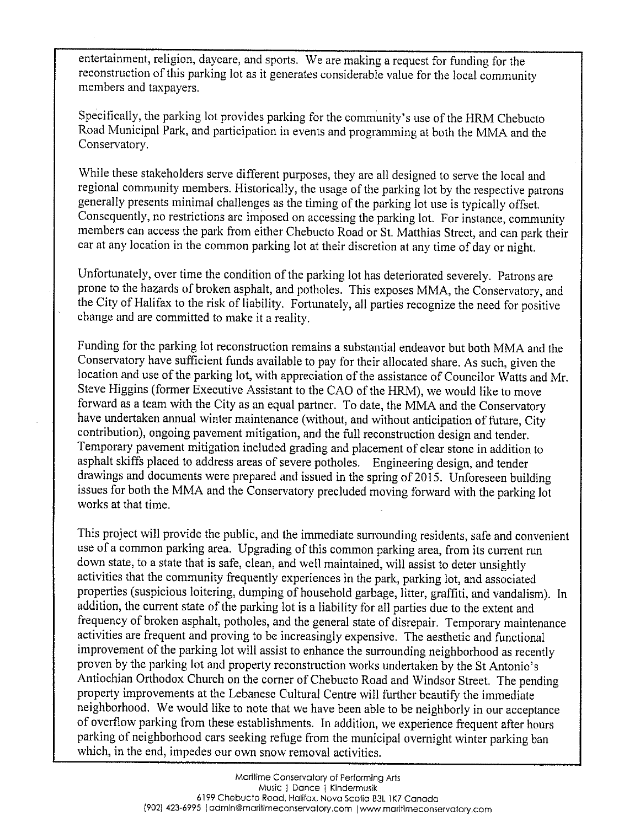entertainment, religion, daycare, and sports. We are making <sup>a</sup> request for funding for the reconstruction of this parking lot as it generates considerable value for the local community members and taxpayers.

Specifically, the parking lot provides parking for the community's use of the HRM Chebucto Road Municipal Park, and participation in events and programming at both the MMA and the Conservatory.

While these stakeholders serve different purposes, they are all designed to serve the local and regional community members. Historically, the usage of the parking lot by the respective patrons generally presents minimal challenges as the timing of the parking lot use is typically offset. Consequently, no restrictions are imposed on accessing the parking lot. For instance, community members can access the par<sup>k</sup> from either Chebucto Road or St. Matthias Street, and can par<sup>k</sup> their car at any location in the common parking lot at their discretion at any time of day or night.

Unfortunately, over time the condition of the parking lot has deteriorated severely. Patrons are prone to the hazards of broken asphalt, and potholes. This exposes MMA, the Conservatory, and the City of Halifax to the risk of liability. Fortunately, all parties recognize the need for positive change and are committed to make it <sup>a</sup> reality.

Funding for the parking lot reconstruction remains <sup>a</sup> substantial endeavor but both MMA and the Conservatory have sufficient funds available to pay for their allocated share. As such, <sup>g</sup>iven the location and use of the parking lot, with appreciation of the assistance of Councilor Watts and Mr. Steve Higgins (former Executive Assistant to the CAO of the HRM), we would like to move forward as <sup>a</sup> team with the City as an equa<sup>l</sup> partner. To date, the MMA and the Conservatory have undertaken annual winter maintenance (without, and without anticipation of future, City contribution), ongoing pavement mitigation, and the full reconstruction design and tender. Temporary pavement mitigation included grading and <sup>p</sup>lacement of clear stone in addition to asphalt skiffs <sup>p</sup>laced to address areas of severe potholes. Engineering design, and tender drawings and documents were prepared and issued in the spring of 2015. Unforeseen building issues for both the MMA and the Conservatory precluded moving forward with the parking lot works at that time.

This project will provide the public, and the immediate surrounding residents, safe and convenient use of <sup>a</sup> common parking area. Upgrading of this common parking area, from its current run down state, to <sup>a</sup> state that is safe, clean, and vell maintained, will assist to deter unsightly activities that the community frequently experiences in the park, parking lot, and associated properties (suspicious loitering, dumping of household garbage, litter, graffiti, and vandalism). In addition, the current state of the parking lot is <sup>a</sup> liability for all parties due to the extent and frequency of broken asphalt, potholes, and the general state of disrepair. Temporary maintenance activities are frequent and proving to be increasingly expensive. The aesthetic and functional improvement of the parking lot will assist to enhance the surrounding neighborhood as recently proven by the parking lot and property reconstruction works undertaken by the St Antonio's Antiochian Orthodox Church on the corner of Chebucto Road and Windsor Street. The pending property improvements at the Lebanese Cultural Centre will further beautify the immediate neighborhood. We would like to note that we have been able to be neighborly in our acceptance of overflow parking from these establishments. In addition, we experience frequent after hours parking of neighborhood cars seeking refuge from the municipal overnight winter parking ban which, in the end, impedes our own snow removal activities.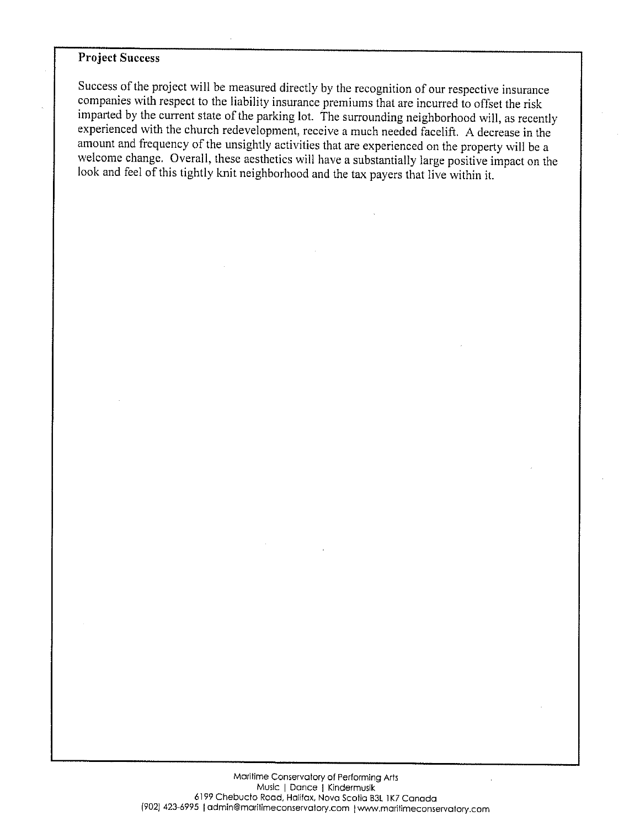### Project Success

Success of the project will be measured directly by the recognition of our respective insurance companies with respect to the liability insurance premiums that are incurred to offset the risk imparted by the current state of the parking lot. The surrounding neighborhood will, as recently experienced with the church redevelopment, receive <sup>a</sup> much needed facelift. <sup>A</sup> decrease in the amount and frequency of the unsightly activities that are experienced on the property will be <sup>a</sup> welcome change. Overall, these aesthetics will have <sup>a</sup> substantially large positive impact on the look and feel of this tightly knit neighborhood and the tax payers that live within it.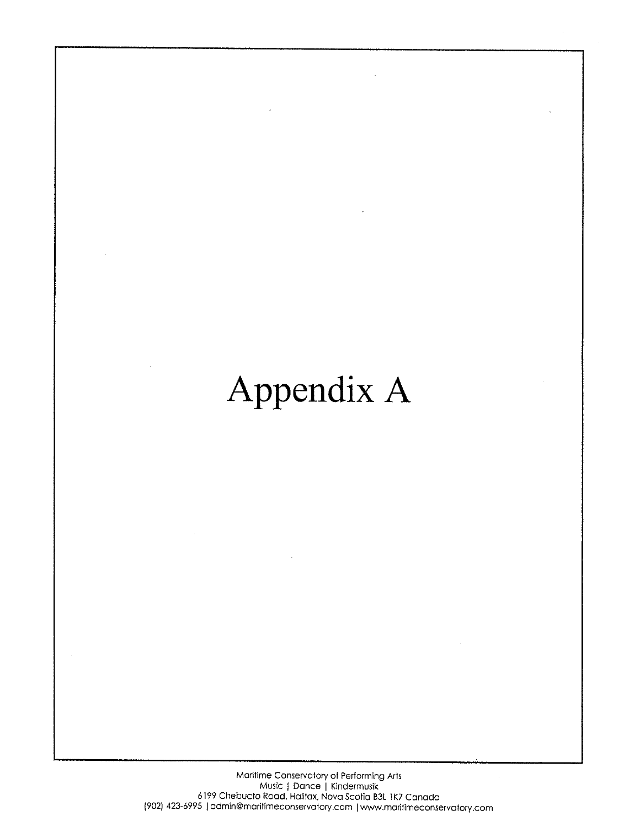# Appendix A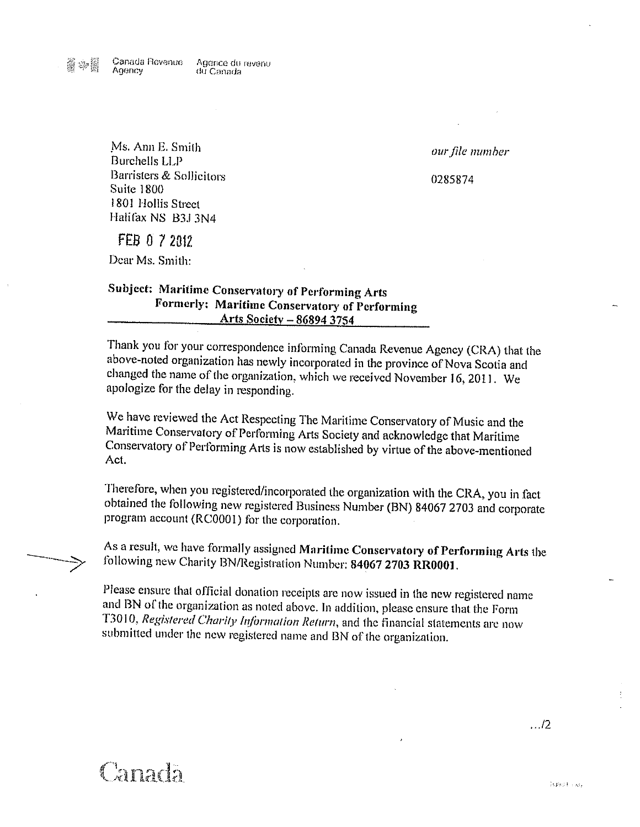Agence du revenu du Canada

our file number

0285874

Ms. Ann E. Smith Burchells LLP Barristers & Sollicitors **Suite 1800** 1801 Hollis Street Halifax NS B3J 3N4

FEB 0 7 2012

Dear Ms. Smith:

# Subject: Maritime Conservatory of Performing Arts Formerly: Maritime Conservatory of Performing Arts Society - 86894 3754

Thank you for your correspondence informing Canada Revenue Agency (CRA) that the above-noted organization has newly incorporated in the province of Nova Scotia and changed the name of the organization, which we received November 16, 2011. We apologize for the delay in responding.

We have reviewed the Act Respecting The Maritime Conservatory of Music and the Maritime Conservatory of Performing Arts Society and acknowledge that Maritime Conservatory of Performing Arts is now established by virtue of the above-mentioned Act.

Therefore, when you registered/incorporated the organization with the CRA, you in fact obtained the following new registered Business Number (BN) 84067 2703 and corporate program account (RC0001) for the corporation.

As a result, we have formally assigned Maritime Conservatory of Performing Arts the following new Charity BN/Registration Number: 84067 2703 RR0001.

Please ensure that official donation receipts are now issued in the new registered name and BN of the organization as noted above. In addition, please ensure that the Form T3010, Registered Charity Information Return, and the financial statements are now submitted under the new registered name and BN of the organization.

 $\ldots$ /2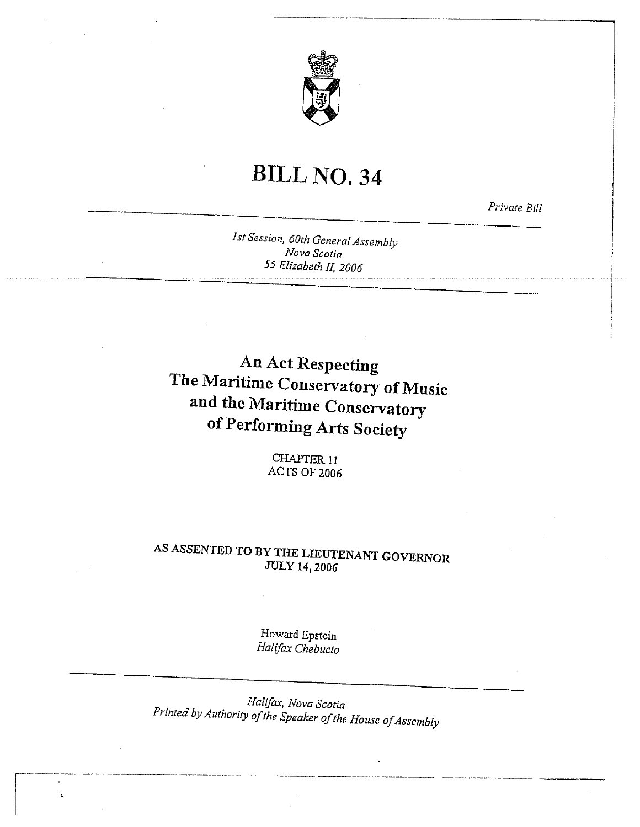

# BILL NO. 34

Private Bill

Ist Session, 60th General Assembly Nova Scotia 55 Elizabeth II, 2006

An Act Respecting The Maritime Conservatory of Music and the Maritime Conservatory of Performing Arts Society

> CHAFFER 11 ACTS OF 2006

# AS ASSENTED TO BY THE LIEUTENANT GOVERNOR JULY 14, 2006

Howard Epstein Halifax Chebucto

Halifax, Nova Scotia Printed by Authority of the Speaker of the House of Assembly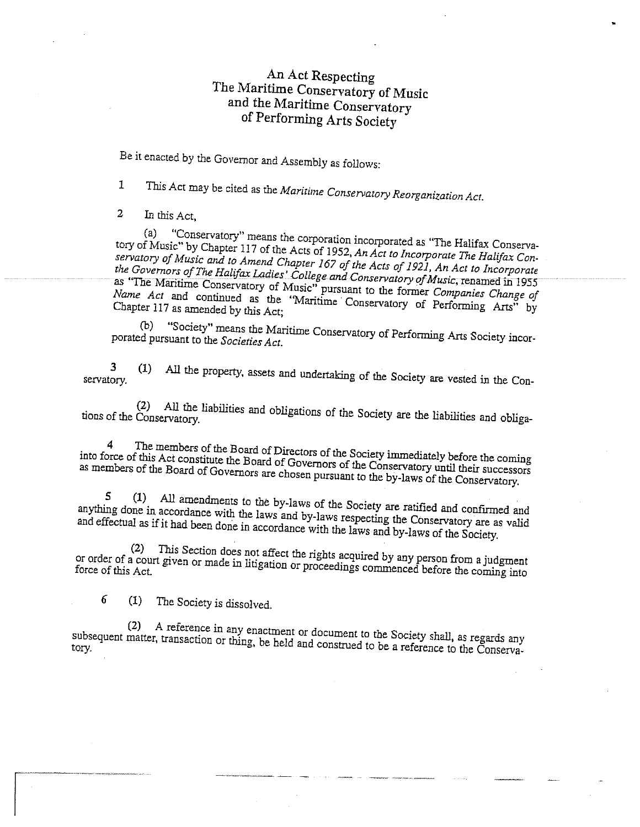# An Act Respecting The Maritime Conservatory of Music and the Maritime Conservatory of Performing Arts Society

Be it enacted by the Governor and Assembly as follows:

<sup>1</sup> This Act may be cited as the Maritime Conservatory Reorganization Act.

<sup>2</sup> InthisAct,

tory of Music" by Chapter (a) "Conservatory" means the corporation incorporated as "The Halifax Conserva tory of Music" by Chapter 117 of the Acts of 1952, An Act to Incorporate The Halifax Con-<br>servatory of Music and to Amend Chapter 167 of the Act to Incorporate The Halifax Conservatory of Music and to Amend Chapter 167 of the Acts of 1921, An Act to Incorporate<br>the Governors of The Halifar Ladies' College and C the Governors of The Halifax Ladies' College and Conservatory of Music, renamed in 1955<br>as "The Maritime Conservatory of Music" was Conservatory of Music, renamed in 1955 Conservatory of Music" pursuant to the former Companies Change of Name Act and continued as the "Maritime Conservatory of Performing Arts" by<br>Chapter 117 as amended by this Act: Chapter <sup>117</sup> as amended by this Act;

porated (b) pursuant to the *Societies Act.* "Society" ety" means the Maritime Conservatory of Performing Arts Society incor-<br>to the Societies Act

servatory. <sup>3</sup> (1) All the property, assets and undertaking of the Society are vested in the Con

tions of the Conservatory. (2) All the liabilities and obligations of the Society are the liabilities and obliga

4 The members of the Board of Directors of the Society immediately before the coming<br>proce of this Act constitute the Board of Governors of the Constitution as into members force of this Act constitute the Board of Governors of the Conservatory until their successors<br>of the Board of Governors are chosen pursuant to the United States of the successors as members of the Board of Governors are chosen pursuant to the by-laws of the Conservatory.

anything done 5 (1) in accordance Ml amendments aents to the by-laws of the Society are ratified and confirmed and with the laws and by laws are respectively. any unity done in accordance with the laws and by-laws respecting the Conservatory are as valid<br>and effectual as if it had been done in accordance with the laws and effectual as if it had been done in accordance with the laws and by-laws of the Society.

or order of <sup>a</sup> (2) or order of a court given or made in litigation or proceedings commenced before the coming into<br>force of this Act. This given Section ction does not affect the rights acquired by any person from a judgment<br>or made in litigation or proceedings acception

<sup>6</sup> (1) The Society is dissolved.

(2) <sup>A</sup> reference in any enactment or document to the Society shall, as regards any subsequent matter, transaction or thing, be held and construed to be a reference to the Conserva-<br>tory.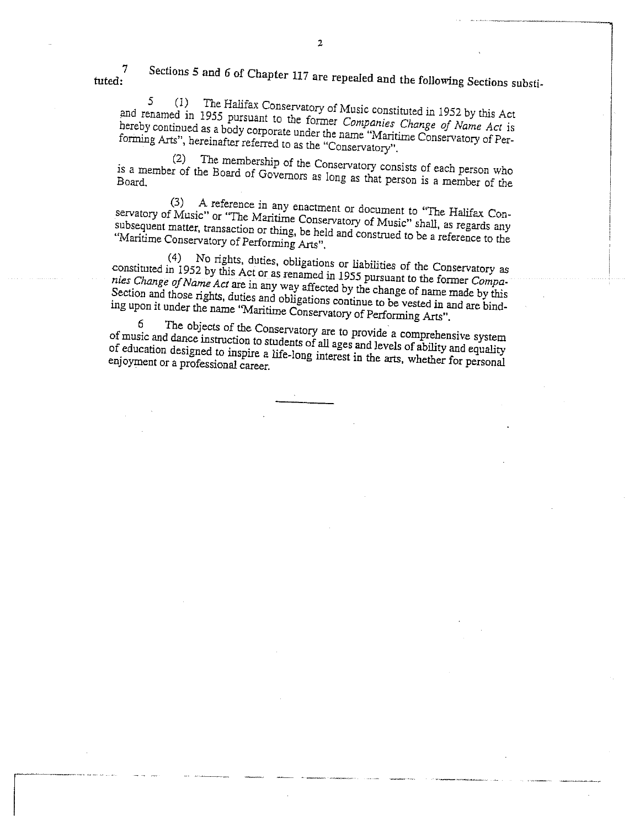<sup>7</sup> Sections <sup>5</sup> and <sup>6</sup> of Chapter <sup>117</sup> are repealed and the following Sections substi tuted:

 $\overline{2}$ 

and renamed in 1955 pursuant to the former Companies Change of Name Act is<br>hereby continued as a body corporate we denote Companies Change of Name Act is  $5 (1)$ The Halifax Conservatory of Music constituted in <sup>1952</sup> by this Act hereby continued as <sup>a</sup> body Forming Arts", hereinafter referred to as the "Conservation" Conservatory of Performing Arts", hereinafter referred to as the "Conservatory".

is <sup>a</sup> member of the (2) The e membership of the Conservatory consists of each person who<br>Board of Governors as long as their whole as a member of the Board of Governors as long as that person is a member of the Board.

(3) <sup>A</sup> reference in any enactment or document to "The Halifax Con servatory of Music" or "The Maritime subsequent matter, transaction or thing be held and construct of Shall, as regards any<br>subsequent matter, transaction or thing be held and construct of Shall, as regards any "Maritime Conservatory of Performing Arts". subsequent matter, transaction or thing, be held and construed to be a reference to the

constituted in 1952 by this Act or as renamed in 1955 pursuant to the Conservatory as<br>nies Change of Name Act are in any way affected by the strain to the former Compa-(4) 1952 No tights, duties, obligations or liabilities of the Conservatory as Section and those rights, duties nies Change of Name Act are in any way affected by the change of name made by this becaton and those rights, duties and obligations continue to be vested in and are bind-<br>ing upon it under the name "Maritime Consequenters of D ing upon it under the name "Maritime Conservatory of Performing Arts".

 $6$  The objects of the Conservatory are to provide a comprehensive system<br>ic and dance instruction to students of all ages in the a comprehensive system of music and dance instruction to of music and dance instruction to students of all ages and levels of ability and equality<br>of education designed to inspire a life-long interact in the set of ability and equality or endcation designed to inspire a life-long interest in the arts, whether for personal<br>enjoyment or a professional career.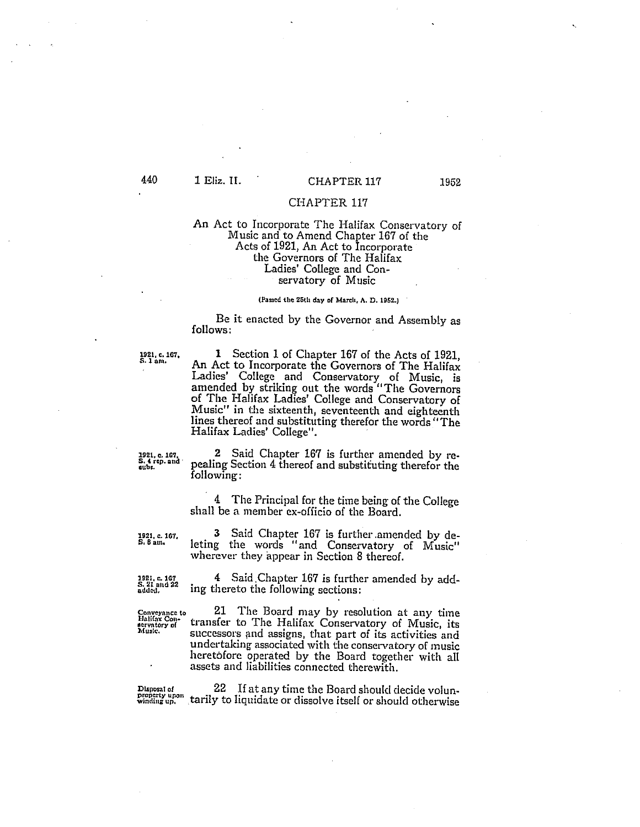## 440 1 Eliz. II. CHAPTER 117 1952

#### CHAPTER 117

#### An Act to Incorporate The Halifax Conservatory of Music and to Amend Chapter 167 of the Acts of 1921, An Act to Incorporate the Governors of The Halifax Ladies' College and Con servatory of Music

#### (Passed the 25th day of March, A. D. 1952.)

Be it enacted by the Governor and Assembly as follows:

192!. c. 167, <sup>1</sup> Section <sup>1</sup> of Chapter <sup>167</sup> of the Acts of 1921, S. lam. An Act to Incorporate the Governors of The Halifax ladies' College and Conservatory of Music, is amended by striking out the words "The Governors of The Halifax Ladies' College and Conservatory of Music" in the sixteenth, seventeenth and eighteenth lines thereof and substituting therefor the words "The Halifax Ladies' College".

1921, c. 167.  $\frac{2}{5.4 \text{ rep. and}}$   $\frac{2}{100}$  Said Chapter 167 is further amended by re $s_{\text{sub}}$ , and pealing Section 4 thereof and substituting therefor the following:

> <sup>4</sup> The Principal for the time being of the College shall be a member ex-officio of the Board.

1921. 167, <sup>3</sup> Said Chapter <sup>167</sup> is further amended by de s. <sup>8</sup> am. leting the words "and Conservatory of Music" wherever they appear in Section 8 thereof.

1921, c. 167  $\frac{4}{5.21 \text{ and } 22}$  ing thereto the following sections:

 $\frac{\text{Convergence to}}{\text{Hallity of}}$  21 The Board may by resolution at any time  $\frac{\text{Hallity to}}{\text{Allsize}}$  transfer to The Halifax Conservatory of Music, its successors and assigns, that part of its activities and undertaking associated with the conservatory of music heretofore operated by the Board together with all assets and liabilities connected therewith.

Disposal of The Case of Line the Board should decide volun-<br>property upon tarily to liquidate or dissolve itself or should otherwise Disposal of 22 If at any time the Board should decide volun-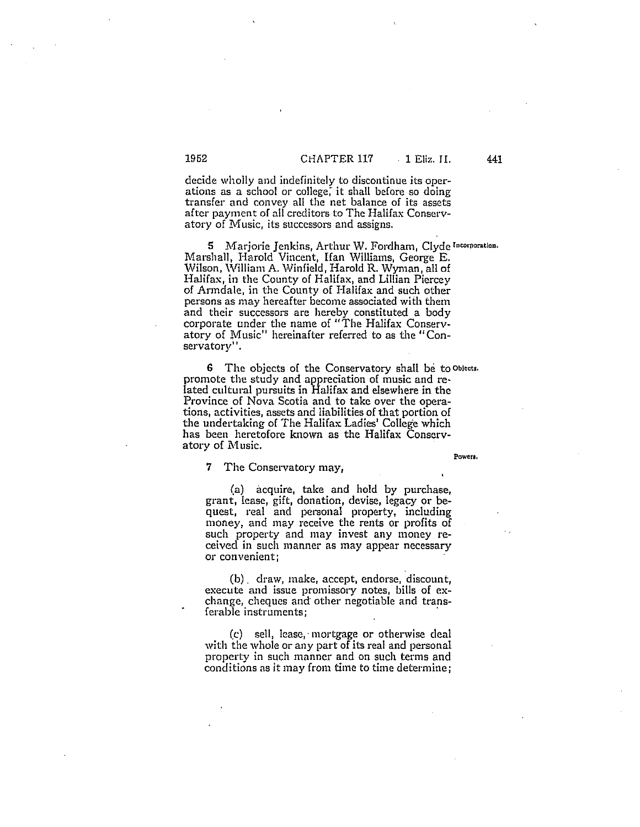decide wholly and indefinitely to discontinue its oper ations as a school or college, it shall before so doing transfer and convey all the net balance of its assets after payment of all creditors to The Halifax Conserv atory of Music, its successors and assigns.

S Marjorie Jenkins, Arthur XV. Fordham, Clyde Incorporation. Marshall, Harold Vincent, Han Williams, George E. Wilson, William A. \Vinfield, Harold R. Wyman, all of Halifax, in the County of Halifax, and Lillian Piercey of Armdale, in the County of Halifax and such other persons as may hereafter become associated with them and their successors are hereby constituted a body corporate under the name of "The Halifax Conserv atory of Music" hereinafter referred to as the "Con servatory''.

6 The objects of the Conservatory shall be to Oblects. promote the study and appreciation of music and re lated cultural pursuits in Halifax and elsewhere in the Province of Nova Scotia and to take over the operations, activities, assets and liabilities of that portion of the undertaking of The Halifax Ladies' College which has been heretofore known as the Halifax Conservatory of Music.

Powera,

#### 7 The Conservatory may,

(a) acquire, take and hold by purchase, grant, lease, gift, donation, devise, legacy or be quest, real and personal property, including money, and may receive the rents or profits of such property and may invest any money re ceived in such manner as may appear necessary or convenient;

(b). draw, make, accept, endorse, discount, execute and issue promissory notes, bills of ex change, cheques and other negotiable and trans ferable instruments;

(c) sell, lease, mortgage or otherwise deal with the whole or any part of its real and personal property in such manner and on such terms and conditions as it may from time to time determine;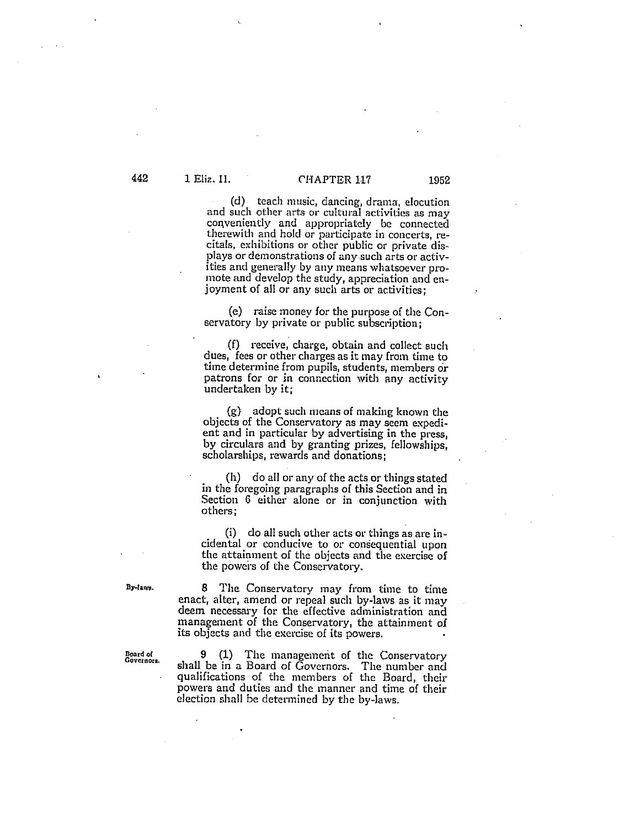# 442 1 Eliz. II. CHAPTER 117 1952

(d) teach music, dancing, drama, elocution and such other arts or cultural activities as may conveniently and appropriately be connected therewith and hold or participate in concerts, recitals, exhibitions or other public or private dis plays or demonstrations of anysuch arts or activ ities and generally by any means whatsoever pro mote and develop the study, appreciation and en joyment of all or any such arts or activities;

(e) raise money for the purpose of the Con servatory by private or public subscription;

(1) receive, charge, obtain and collect such dues, fees or other charges as it may from time to time determine from pupils, students, members or patrons for or in connection with any activity undertaken by it;

(g) adopt such means of making known the objects of the Conservatory as may seem expedi ent and in particular by advertising in the press, by circulars and by granting prizes, fellowships, scholarships, rewards and donations;

(h) do all or any of the acts or things stated in the foregoing paragraphs of this Section and in Section 6 either alone or in conjunction with others;

(1) do all such other acts or things as are in cidental or conducive to or consequential upon the attainment of the objects and the exercise of the powers of the Conservatory.

By-laws. 8 The Conservatory may from time to time enact, alter, amend or repeal such by-laws as it may deem necessary for the effective administration and management of the Conservatory, the attainment of its objects and the exercise of its powers.

Board of <sup>9</sup> (1) The management of the Conservatory Governors. shall be in <sup>a</sup> Board of Governors. The number and qualifications of the members of the Board, their powers and duties and the manner and time of their election shall be determined by the by-Jaws.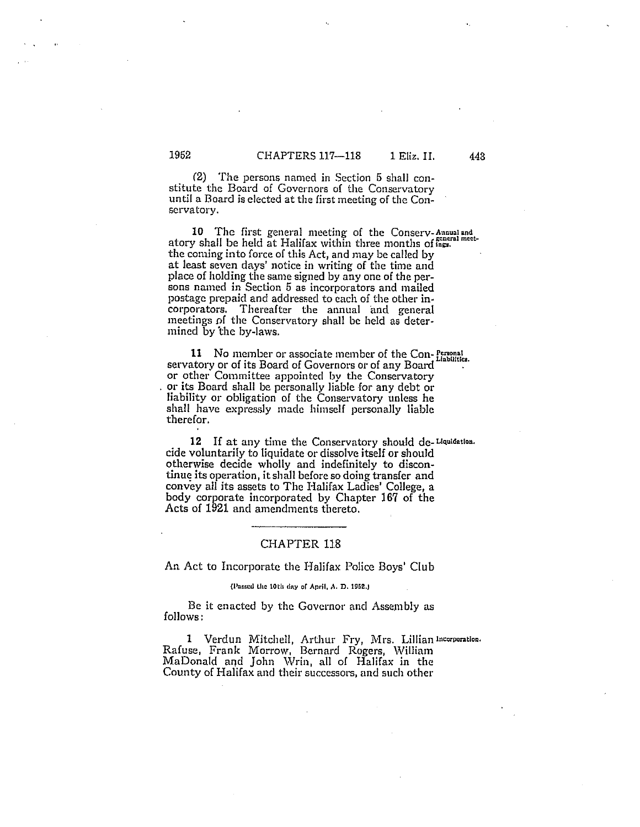(2) The persons named in Section <sup>6</sup> shall con stitute the Board of Governors of the Conservatory until <sup>a</sup> Board is elected at the first meeting of the Con servatory.

10 The first general meeting of the Conserv-Annual and atory shall be held at Halifax within three months of ings. the coming into force of this Act, and may be called by at least seven days' notice in writing of the time and place of holding the same signed by any one of the persons named in Section 5 as incorporators and mailed postage prepaid and addressed to each of the other in corporators. Thereafter the annual and general meetings of the Conservatory shall be held as deter mined by the by-laws.

11 No member or associate member of the Con-Personal servatory or of its Board of Governors or of any Board or other Committee appointed by the Conservatory or its Board shall be personally liable for any debt or liability or obligation of the Conservatory unless he shall have expressly made himself personally liable therefor.

12 If at any time the Conservatory should de-Llquidation. cide voluntarily to liquidate or dissolve itself or should otherwise decide wholly and indefinitely to discon tinue its operation, it shall before so doing transfer and convey all its assets to The Halifax Ladies' College, a body corporate incorporated by Chapter 167 of the Acts of 1921 and amendments thereto.

#### CHAPTER 118

An Act to Incorporate the Halifax Police Boys' Club

#### (Passed the 10th day of April, A. D. 1952.)

Be it enacted by the Governor and Assembly as follows:

1 Verdun Mitchell, Arthur Fry, Mrs. Lillian Incorporation. Rafuse, Frank Morrow, Bernard Rogers, William MaDonald and John Wrin, all of Halifax in the County of Halifax and their successors, and such other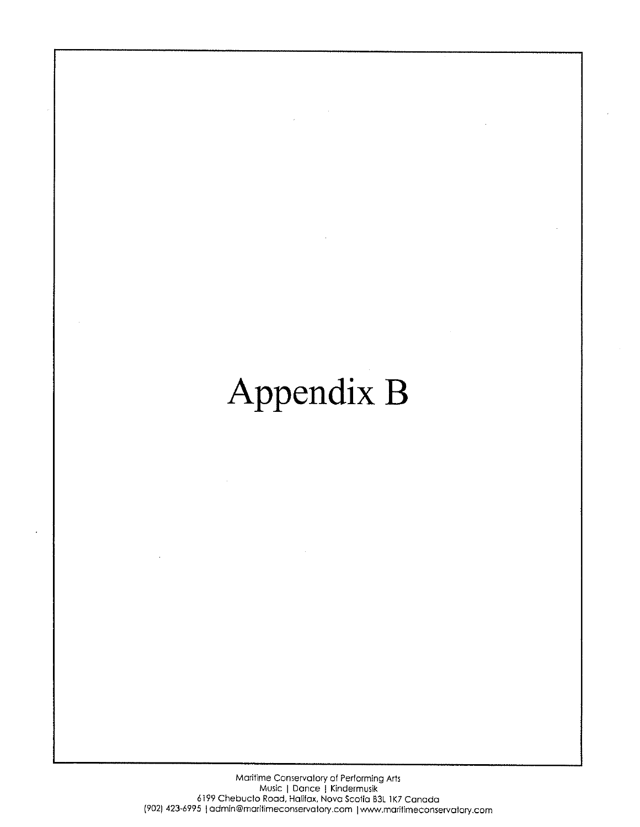# Appendix B

Maritime Conservatory of Performing Arts Music | Dance | Kindermusik 6199 Chebucto Road, Halifax, Nova Scotia B3L 1K7 Canada (902) 423-6995 | admin@maritimeconservatory.com | www.maritimeconservatory.com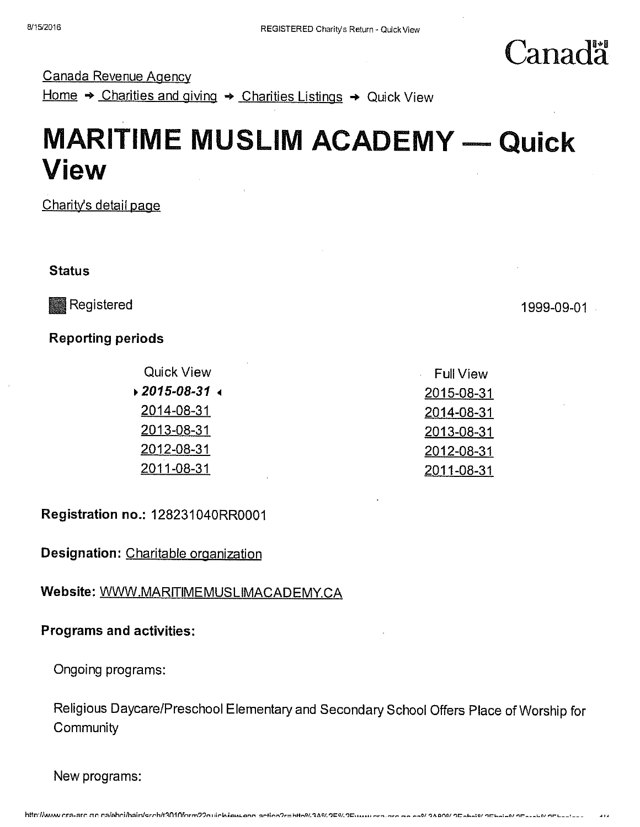Canada Revenue Agency

Home  $\rightarrow$  Charities and giving  $\rightarrow$  Charities Listings  $\rightarrow$  Quick View

# **MARITIME MUSLIM ACADEMY — Quick** View

Charity's detail page

**Status** 

Reporting periods

**Quick View Full View Full View Report Control** i2015-08-31 2015-08-31 2014-08-31 2014-08-31 2013-08-31 2013-08-31 2012-08-31 2012-08-31 2011-08-31 2011-08-31

Registration no.: 128231 O4ORR0001

Designation: Charitable organization

Website: WWW.MARITIMEMUSLIMACADEMY.CA

# Programs and activities:

Ongoing programs:

Religious Daycare/Preschool Elementary and Secondary School Offers Place of Worship for **Community** 

New programs:

Registered and the contract of the contract of the contract of the contract of the contract of the contract of the contract of the contract of the contract of the contract of the contract of the contract of the contract of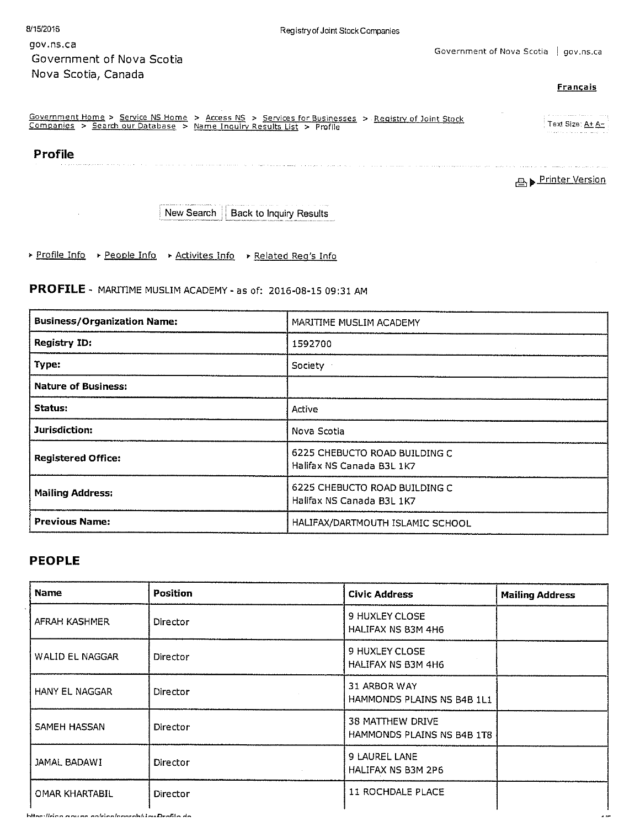| 8/15/2016                                                                                                                                 | Registry of Joint Stock Companies                                                                 |
|-------------------------------------------------------------------------------------------------------------------------------------------|---------------------------------------------------------------------------------------------------|
| gov.ns.ca<br>Government of Nova Scotia                                                                                                    | Gover                                                                                             |
| Nova Scotia, Canada                                                                                                                       |                                                                                                   |
| $Conformation \leftarrow$ $Conformation \leftarrow$ $Conformation \leftarrow$ $Inform \leftarrow$ $Inform \leftarrow$ $Inform \leftarrow$ | Government Home > Service NS Home > Access NS > Services for Businesses > Registry of Joint Stock |

#### **Français**

الكفار والمتحدث والمدار والمتحدة

نبر د

| Government Home > Service NS Home ><br>Companies<br>Search our Database | - Access NS > Services for Businesses > Registry of Joint Stock<br>- Name Inquiry Results List > Profile | the common common changes of the common pro-<br>Text Size: A+ A-<br>the basis of the contract and contract and provided and |
|-------------------------------------------------------------------------|----------------------------------------------------------------------------------------------------------|-----------------------------------------------------------------------------------------------------------------------------|
|                                                                         |                                                                                                          |                                                                                                                             |

an comparativa de consegue a comparativa de comparativa e o comparativa de la característica de la característic

## Profile

 $\sim 10^{-1}$ 

**A** Printer Version

New Search | Back to Inquiry Results

▶ Profile Info ▶ People Info ▶ Activites Info ▶ Related Reg's Info

PROFILE - MARITIME MUSLIM ACADEMY - as of: 2016-08-15 09:31 AM

| <b>Business/Organization Name:</b> | MARITIME MUSLIM ACADEMY                                    |  |  |
|------------------------------------|------------------------------------------------------------|--|--|
| <b>Registry ID:</b>                | 1592700                                                    |  |  |
| Type:                              | Society                                                    |  |  |
| <b>Nature of Business:</b>         |                                                            |  |  |
| Status:                            | Active                                                     |  |  |
| Jurisdiction:                      | Nova Scotia                                                |  |  |
| <b>Registered Office:</b>          | 6225 CHEBUCTO ROAD BUILDING C<br>Halifax NS Canada B3L 1K7 |  |  |
| <b>Mailing Address:</b>            | 6225 CHEBUCTO ROAD BUILDING C<br>Halifax NS Canada B3L 1K7 |  |  |
| <b>Previous Name:</b>              | HALIFAX/DARTMOUTH ISLAMIC SCHOOL                           |  |  |

### **PEOPLE**

| <b>Name</b>           | <b>Position</b> | <b>Civic Address</b>                           | <b>Mailing Address</b> |
|-----------------------|-----------------|------------------------------------------------|------------------------|
| AFRAH KASHMER         | Director        | 9 HUXLEY CLOSE<br><b>HALIFAX NS B3M 4H6</b>    |                        |
| WALID EL NAGGAR       | Director        | 9 HUXLEY CLOSE<br>HALIFAX NS B3M 4H6           |                        |
| <b>HANY EL NAGGAR</b> | Director        | 31 ARBOR WAY<br>HAMMONDS PLAINS NS B4B 1L1     |                        |
| SAMEH HASSAN          | Director        | 38 MATTHEW DRIVE<br>HAMMONDS PLAINS NS B4B 1T8 |                        |
| JAMAL BADAWI          | Director        | 9 LAUREL LANE<br>HALIFAX NS B3M 2P6            |                        |
| OMAR KHARTABIL        | Director        | 11 ROCHDALE PLACE                              |                        |

https://rico.onune.oo/rico/controlibusDrofile.do